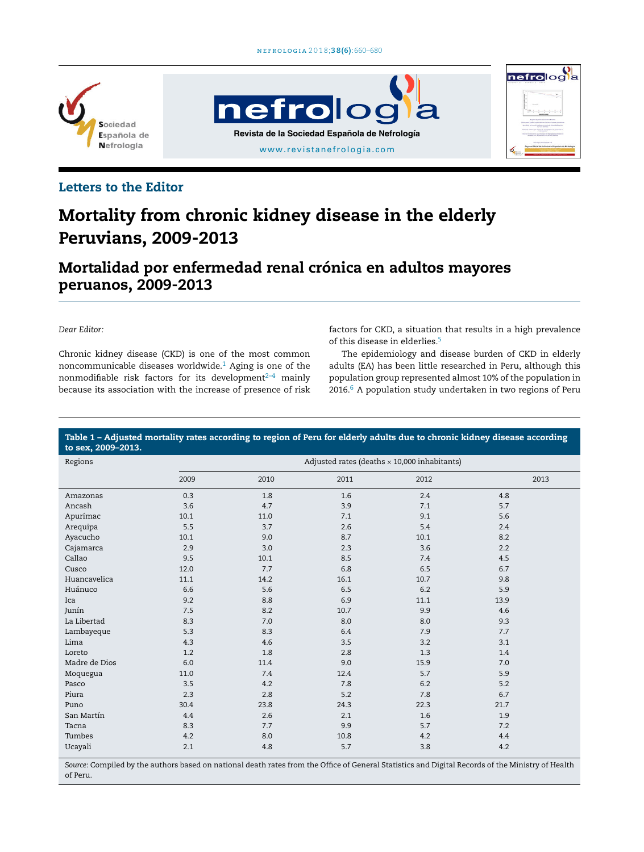





### Letters to the Editor

# Mortality from chronic kidney disease in the elderly Peruvians, 2009-2013

## Mortalidad por enfermedad renal crónica en adultos mayores peruanos, 2009-2013

*Dear Editor:*

Chronic kidney disease (CKD) is one of the most common noncommunicable diseases worldwide.<sup>1</sup> Aging is one of the nonmodifiable risk factors for its development $2-4$  mainly because its association with the increase of presence of risk factors for CKD, a situation that results in a high prevalence of this disease in elderlies.<sup>5</sup>

The epidemiology and disease burden of CKD in elderly adults (EA) has been little researched in Peru, although this population group represented almost 10% of the population in 2016.<sup>6</sup> A population study undertaken in two regions of Peru

| Table 1 – Adjusted mortality rates according to region of Peru for elderly adults due to chronic kidney disease according<br>to sex, 2009-2013. |                                                     |      |      |      |      |  |  |  |  |
|-------------------------------------------------------------------------------------------------------------------------------------------------|-----------------------------------------------------|------|------|------|------|--|--|--|--|
| Regions                                                                                                                                         | Adjusted rates (deaths $\times$ 10,000 inhabitants) |      |      |      |      |  |  |  |  |
|                                                                                                                                                 | 2009                                                | 2010 | 2011 | 2012 | 2013 |  |  |  |  |
| Amazonas                                                                                                                                        | 0.3                                                 | 1.8  | 1.6  | 2.4  | 4.8  |  |  |  |  |
| Ancash                                                                                                                                          | 3.6                                                 | 4.7  | 3.9  | 7.1  | 5.7  |  |  |  |  |
| Apurímac                                                                                                                                        | 10.1                                                | 11.0 | 7.1  | 9.1  | 5.6  |  |  |  |  |
| Arequipa                                                                                                                                        | 5.5                                                 | 3.7  | 2.6  | 5.4  | 2.4  |  |  |  |  |
| Ayacucho                                                                                                                                        | 10.1                                                | 9.0  | 8.7  | 10.1 | 8.2  |  |  |  |  |
| Cajamarca                                                                                                                                       | 2.9                                                 | 3.0  | 2.3  | 3.6  | 2.2  |  |  |  |  |
| Callao                                                                                                                                          | 9.5                                                 | 10.1 | 8.5  | 7.4  | 4.5  |  |  |  |  |
| Cusco                                                                                                                                           | 12.0                                                | 7.7  | 6.8  | 6.5  | 6.7  |  |  |  |  |
| Huancavelica                                                                                                                                    | 11.1                                                | 14.2 | 16.1 | 10.7 | 9.8  |  |  |  |  |
| Huánuco                                                                                                                                         | 6.6                                                 | 5.6  | 6.5  | 6.2  | 5.9  |  |  |  |  |
| Ica                                                                                                                                             | 9.2                                                 | 8.8  | 6.9  | 11.1 | 13.9 |  |  |  |  |
| Junín                                                                                                                                           | 7.5                                                 | 8.2  | 10.7 | 9.9  | 4.6  |  |  |  |  |
| La Libertad                                                                                                                                     | 8.3                                                 | 7.0  | 8.0  | 8.0  | 9.3  |  |  |  |  |
| Lambayeque                                                                                                                                      | 5.3                                                 | 8.3  | 6.4  | 7.9  | 7.7  |  |  |  |  |
| Lima                                                                                                                                            | 4.3                                                 | 4.6  | 3.5  | 3.2  | 3.1  |  |  |  |  |
| Loreto                                                                                                                                          | 1.2                                                 | 1.8  | 2.8  | 1.3  | 1.4  |  |  |  |  |
| Madre de Dios                                                                                                                                   | 6.0                                                 | 11.4 | 9.0  | 15.9 | 7.0  |  |  |  |  |
| Moquegua                                                                                                                                        | 11.0                                                | 7.4  | 12.4 | 5.7  | 5.9  |  |  |  |  |
| Pasco                                                                                                                                           | 3.5                                                 | 4.2  | 7.8  | 6.2  | 5.2  |  |  |  |  |
| Piura                                                                                                                                           | 2.3                                                 | 2.8  | 5.2  | 7.8  | 6.7  |  |  |  |  |
| Puno                                                                                                                                            | 30.4                                                | 23.8 | 24.3 | 22.3 | 21.7 |  |  |  |  |
| San Martín                                                                                                                                      | 4.4                                                 | 2.6  | 2.1  | 1.6  | 1.9  |  |  |  |  |
| Tacna                                                                                                                                           | 8.3                                                 | 7.7  | 9.9  | 5.7  | 7.2  |  |  |  |  |
| Tumbes                                                                                                                                          | 4.2                                                 | 8.0  | 10.8 | 4.2  | 4.4  |  |  |  |  |
| Ucayali                                                                                                                                         | 2.1                                                 | 4.8  | 5.7  | 3.8  | 4.2  |  |  |  |  |

*Source*: Compiled by the authors based on national death rates from the Office of General Statistics and Digital Records of the Ministry of Health of Peru.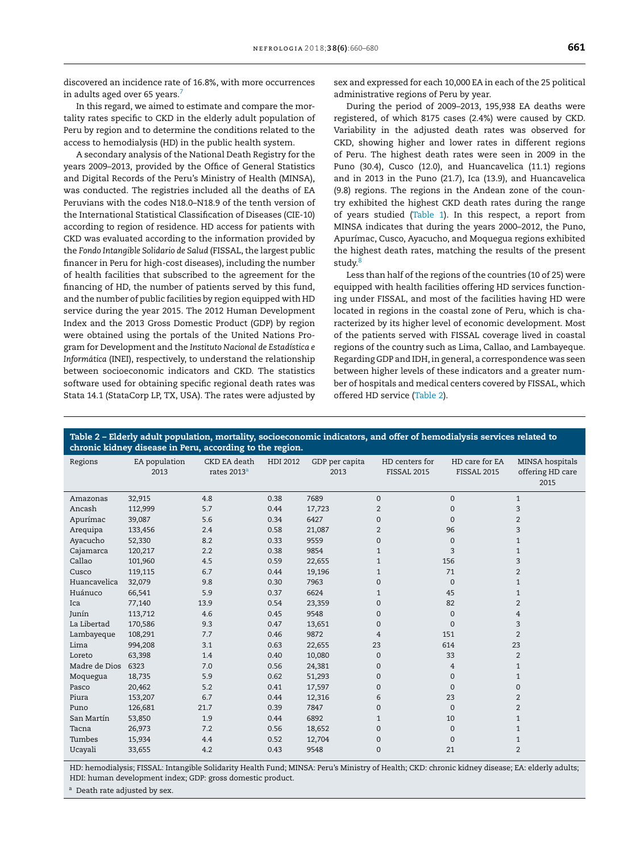discovered an incidence rate of 16.8%, with more occurrences in adults aged over 65 years.<sup>7</sup>

In this regard, we aimed to estimate and compare the mortality rates specific to CKD in the elderly adult population of Peru by region and to determine the conditions related to the access to hemodialysis (HD) in the public health system.

A secondary analysis of the National Death Registry for the years 2009–2013, provided by the Office of General Statistics and Digital Records of the Peru's Ministry of Health (MINSA), was conducted. The registries included all the deaths of EA Peruvians with the codes N18.0–N18.9 of the tenth version of the International Statistical Classification of Diseases (CIE-10) according to region of residence. HD access for patients with CKD was evaluated according to the information provided by the *Fondo Intangible Solidario de Salud* (FISSAL, the largest public financer in Peru for high-cost diseases), including the number of health facilities that subscribed to the agreement for the financing of HD, the number of patients served by this fund, and the number of public facilities by region equipped with HD service during the year 2015. The 2012 Human Development Index and the 2013 Gross Domestic Product (GDP) by region were obtained using the portals of the United Nations Program for Development and the *Instituto Nacional de Estadística e Informática* (INEI), respectively, to understand the relationship between socioeconomic indicators and CKD. The statistics software used for obtaining specific regional death rates was Stata 14.1 (StataCorp LP, TX, USA). The rates were adjusted by sex and expressed for each 10,000 EA in each of the 25 political administrative regions of Peru by year.

During the period of 2009–2013, 195,938 EA deaths were registered, of which 8175 cases (2.4%) were caused by CKD. Variability in the adjusted death rates was observed for CKD, showing higher and lower rates in different regions of Peru. The highest death rates were seen in 2009 in the Puno (30.4), Cusco (12.0), and Huancavelica (11.1) regions and in 2013 in the Puno (21.7), Ica (13.9), and Huancavelica (9.8) regions. The regions in the Andean zone of the country exhibited the highest CKD death rates during the range of years studied (Table 1). In this respect, a report from MINSA indicates that during the years 2000–2012, the Puno, Apurímac, Cusco, Ayacucho, and Moquegua regions exhibited the highest death rates, matching the results of the present study.<sup>8</sup>

Less than half of the regions of the countries (10 of 25) were equipped with health facilities offering HD services functioning under FISSAL, and most of the facilities having HD were located in regions in the coastal zone of Peru, which is characterized by its higher level of economic development. Most of the patients served with FISSAL coverage lived in coastal regions of the country such as Lima, Callao, and Lambayeque. Regarding GDP and IDH, in general, a correspondence was seen between higher levels of these indicators and a greater number of hospitals and medical centers covered by FISSAL, which offered HD service (Table 2).

| Table 2 - Elderly adult population, mortality, socioeconomic indicators, and offer of hemodialysis services related to<br>chronic kidney disease in Peru, according to the region. |                       |                                         |          |                        |                                      |                                      |                                             |  |  |  |  |  |
|------------------------------------------------------------------------------------------------------------------------------------------------------------------------------------|-----------------------|-----------------------------------------|----------|------------------------|--------------------------------------|--------------------------------------|---------------------------------------------|--|--|--|--|--|
| Regions                                                                                                                                                                            | EA population<br>2013 | CKD EA death<br>rates 2013 <sup>a</sup> | HDI 2012 | GDP per capita<br>2013 | HD centers for<br><b>FISSAL 2015</b> | HD care for EA<br><b>FISSAL 2015</b> | MINSA hospitals<br>offering HD care<br>2015 |  |  |  |  |  |
| Amazonas                                                                                                                                                                           | 32,915                | 4.8                                     | 0.38     | 7689                   | $\Omega$                             | $\Omega$                             | $\mathbf{1}$                                |  |  |  |  |  |
| Ancash                                                                                                                                                                             | 112,999               | 5.7                                     | 0.44     | 17,723                 | $\overline{2}$                       | $\mathbf{0}$                         | 3                                           |  |  |  |  |  |
| Apurímac                                                                                                                                                                           | 39,087                | 5.6                                     | 0.34     | 6427                   | $\Omega$                             | $\Omega$                             | 2                                           |  |  |  |  |  |
| Arequipa                                                                                                                                                                           | 133,456               | 2.4                                     | 0.58     | 21,087                 | $\overline{2}$                       | 96                                   | 3                                           |  |  |  |  |  |
| Ayacucho                                                                                                                                                                           | 52,330                | 8.2                                     | 0.33     | 9559                   | $\mathbf{0}$                         | $\mathbf{0}$                         | $\mathbf{1}$                                |  |  |  |  |  |
| Cajamarca                                                                                                                                                                          | 120,217               | 2.2                                     | 0.38     | 9854                   | $\mathbf{1}$                         | 3                                    | $\mathbf{1}$                                |  |  |  |  |  |
| Callao                                                                                                                                                                             | 101,960               | 4.5                                     | 0.59     | 22,655                 | $\mathbf{1}$                         | 156                                  | 3                                           |  |  |  |  |  |
| Cusco                                                                                                                                                                              | 119,115               | 6.7                                     | 0.44     | 19,196                 | $\mathbf{1}$                         | 71                                   | 2                                           |  |  |  |  |  |
| Huancavelica                                                                                                                                                                       | 32,079                | 9.8                                     | 0.30     | 7963                   | $\mathbf{O}$                         | $\Omega$                             | $\mathbf{1}$                                |  |  |  |  |  |
| Huánuco                                                                                                                                                                            | 66,541                | 5.9                                     | 0.37     | 6624                   | $\mathbf{1}$                         | 45                                   | $\mathbf{1}$                                |  |  |  |  |  |
| Ica                                                                                                                                                                                | 77,140                | 13.9                                    | 0.54     | 23,359                 | $\mathbf{0}$                         | 82                                   | 2                                           |  |  |  |  |  |
| Junín                                                                                                                                                                              | 113,712               | 4.6                                     | 0.45     | 9548                   | $\Omega$                             | $\mathbf{0}$                         | $\overline{4}$                              |  |  |  |  |  |
| La Libertad                                                                                                                                                                        | 170,586               | 9.3                                     | 0.47     | 13,651                 | $\mathbf{0}$                         | $\mathbf{0}$                         | 3                                           |  |  |  |  |  |
| Lambayeque                                                                                                                                                                         | 108,291               | 7.7                                     | 0.46     | 9872                   | $\overline{4}$                       | 151                                  | 2                                           |  |  |  |  |  |
| Lima                                                                                                                                                                               | 994,208               | 3.1                                     | 0.63     | 22,655                 | 23                                   | 614                                  | 23                                          |  |  |  |  |  |
| Loreto                                                                                                                                                                             | 63,398                | 1.4                                     | 0.40     | 10,080                 | $\Omega$                             | 33                                   | 2                                           |  |  |  |  |  |
| Madre de Dios                                                                                                                                                                      | 6323                  | 7.0                                     | 0.56     | 24,381                 | $\mathbf{0}$                         | $\overline{4}$                       | $\mathbf{1}$                                |  |  |  |  |  |
| Moquegua                                                                                                                                                                           | 18,735                | 5.9                                     | 0.62     | 51,293                 | $\mathbf{O}$                         | $\mathbf{0}$                         | $\mathbf{1}$                                |  |  |  |  |  |
| Pasco                                                                                                                                                                              | 20,462                | 5.2                                     | 0.41     | 17,597                 | $\mathbf{0}$                         | $\Omega$                             | $\mathbf{0}$                                |  |  |  |  |  |
| Piura                                                                                                                                                                              | 153,207               | 6.7                                     | 0.44     | 12,316                 | 6                                    | 23                                   | 2                                           |  |  |  |  |  |
| Puno                                                                                                                                                                               | 126,681               | 21.7                                    | 0.39     | 7847                   | $\mathbf{0}$                         | $\Omega$                             | $\overline{2}$                              |  |  |  |  |  |
| San Martín                                                                                                                                                                         | 53,850                | 1.9                                     | 0.44     | 6892                   | $\mathbf{1}$                         | 10                                   | $\mathbf{1}$                                |  |  |  |  |  |
| Tacna                                                                                                                                                                              | 26,973                | 7.2                                     | 0.56     | 18,652                 | $\mathbf{O}$                         | $\mathbf{0}$                         | $\mathbf{1}$                                |  |  |  |  |  |
| Tumbes                                                                                                                                                                             | 15,934                | 4.4                                     | 0.52     | 12,704                 | $\mathbf{0}$                         | $\Omega$                             | $\mathbf{1}$                                |  |  |  |  |  |
| Ucayali                                                                                                                                                                            | 33,655                | 4.2                                     | 0.43     | 9548                   | $\mathbf{0}$                         | 21                                   | 2                                           |  |  |  |  |  |

HD: hemodialysis; FISSAL: Intangible Solidarity Health Fund; MINSA: Peru's Ministry of Health; CKD: chronic kidney disease; EA: elderly adults; HDI: human development index; GDP: gross domestic product.

a Death rate adjusted by sex.